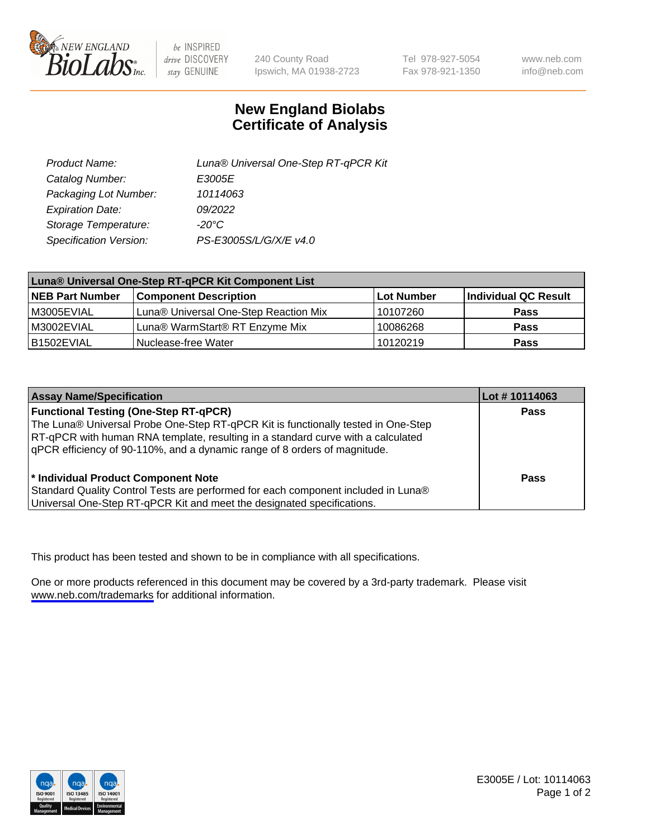

be INSPIRED drive DISCOVERY stay GENUINE

240 County Road Ipswich, MA 01938-2723 Tel 978-927-5054 Fax 978-921-1350

www.neb.com info@neb.com

## **New England Biolabs Certificate of Analysis**

| Product Name:           | Luna® Universal One-Step RT-qPCR Kit |
|-------------------------|--------------------------------------|
| Catalog Number:         | E3005E                               |
| Packaging Lot Number:   | 10114063                             |
| <b>Expiration Date:</b> | 09/2022                              |
| Storage Temperature:    | $-20^{\circ}$ C                      |
| Specification Version:  | PS-E3005S/L/G/X/E v4.0               |

| Luna® Universal One-Step RT-qPCR Kit Component List |                                       |              |                      |  |
|-----------------------------------------------------|---------------------------------------|--------------|----------------------|--|
| <b>NEB Part Number</b>                              | <b>Component Description</b>          | l Lot Number | Individual QC Result |  |
| IM3005EVIAL                                         | Luna® Universal One-Step Reaction Mix | 10107260     | Pass                 |  |
| IM3002EVIAL                                         | Luna® WarmStart® RT Enzyme Mix        | 10086268     | <b>Pass</b>          |  |
| B1502EVIAL                                          | Nuclease-free Water                   | 10120219     | <b>Pass</b>          |  |

| <b>Assay Name/Specification</b>                                                   | Lot #10114063 |
|-----------------------------------------------------------------------------------|---------------|
| <b>Functional Testing (One-Step RT-qPCR)</b>                                      | <b>Pass</b>   |
| The Luna® Universal Probe One-Step RT-qPCR Kit is functionally tested in One-Step |               |
| RT-qPCR with human RNA template, resulting in a standard curve with a calculated  |               |
| qPCR efficiency of 90-110%, and a dynamic range of 8 orders of magnitude.         |               |
|                                                                                   |               |
| <sup>*</sup> Individual Product Component Note                                    | Pass          |
| Standard Quality Control Tests are performed for each component included in Luna® |               |
| Universal One-Step RT-qPCR Kit and meet the designated specifications.            |               |

This product has been tested and shown to be in compliance with all specifications.

One or more products referenced in this document may be covered by a 3rd-party trademark. Please visit <www.neb.com/trademarks>for additional information.